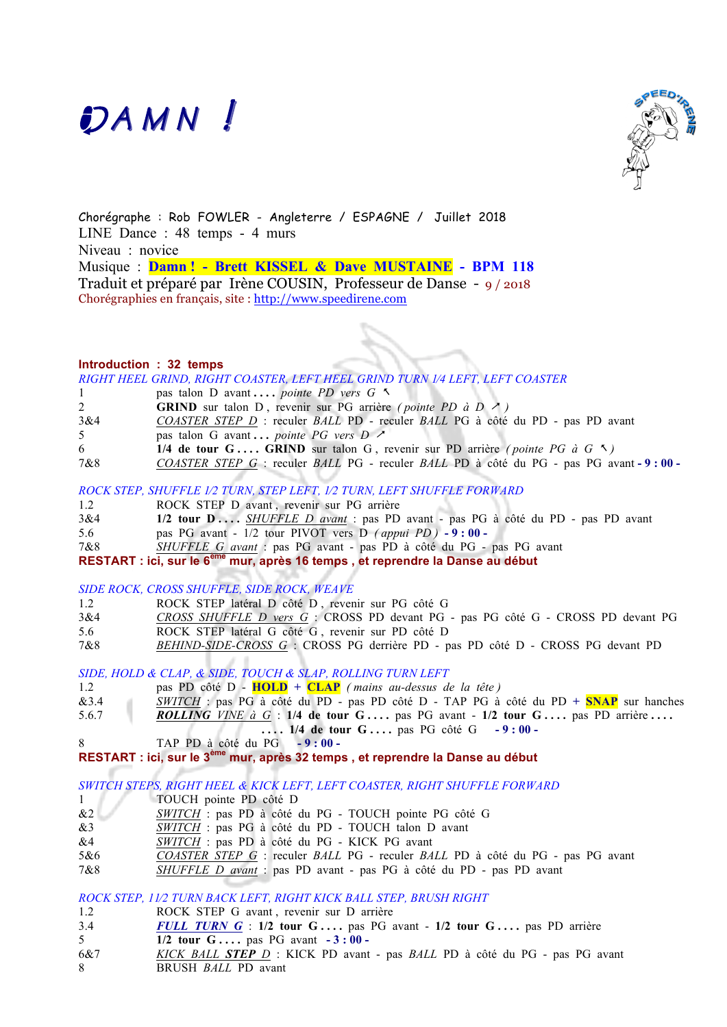# DAMN!



Chorégraphe : Rob FOWLER - Angleterre / ESPAGNE / Juillet 2018 LINE Dance : 48 temps - 4 murs Niveau : novice Musique : **Damn ! - Brett KISSEL & Dave MUSTAINE - BPM 118** Traduit et préparé par Irène COUSIN, Professeur de Danse - 9 / 2018 Chorégraphies en français, site : http://www.speedirene.com

#### **Introduction : 32 temps**

|     | RIGHT HEEL GRIND, RIGHT COASTER, LEFT HEEL GRIND TURN 1/4 LEFT, LEFT COASTER            |
|-----|-----------------------------------------------------------------------------------------|
|     | pas talon D avant <i>pointe PD vers G</i> $\sim$                                        |
| 2   | <b>GRIND</b> sur talon D, revenir sur PG arrière (pointe PD à D $\geq$ )                |
| 3&4 | COASTER STEP D : reculer BALL PD - reculer BALL PG à côté du PD - pas PD avant          |
| 5   | pas talon G avant <i>pointe PG vers D</i> $\geq$                                        |
| 6   | 1/4 de tour G GRIND sur talon G, revenir sur PD arrière (pointe PG à G $\land$ )        |
| 7&8 | COASTER STEP G : reculer BALL PG - reculer BALL PD à côté du PG - pas PG avant - 9:00 - |
|     |                                                                                         |

#### *ROCK STEP, SHUFFLE 1⁄2 TURN, STEP LEFT, 1⁄2 TURN, LEFT SHUFFLE FORWARD*

| 1.2 | ROCK STEP D avant, revenir sur PG arrière                                      |
|-----|--------------------------------------------------------------------------------|
| 3&4 | 1/2 tour D SHUFFLE D avant : pas PD avant - pas PG à côté du PD - pas PD avant |
| 5.6 | pas PG avant - $1/2$ tour PIVOT vers D <i>(appui PD)</i> - 9:00 -              |
| 7&8 | <i>SHUFFLE G avant</i> : pas PG avant - pas PD à côté du PG - pas PG avant     |
|     |                                                                                |

**RESTART : ici, sur le 6ème mur, après 16 temps , et reprendre la Danse au début**

#### *SIDE ROCK, CROSS SHUFFLE, SIDE ROCK, WEAVE*

- 1.2 ROCK STEP latéral D côté D , revenir sur PG côté G
- 3&4 *CROSS SHUFFLE D vers G* :CROSS PD devant PG pas PG côté G CROSS PD devant PG 5.6 ROCK STEP latéral G côté G , revenir sur PD côté D
- 7&8 *BEHIND-SIDE-CROSS G* :CROSS PG derrière PD pas PD côté D CROSS PG devant PD

*SIDE, HOLD & CLAP, & SIDE, TOUCH & SLAP, ROLLING TURN LEFT*

- 1.2 pas PD côté D **HOLD + CLAP** *( mains au-dessus de la tête )*
- &3.4 *SWITCH* : pas PG à côté du PD pas PD côté D TAP PG à côté du PD **+ SNAP** sur hanches
- 5.6.7 **ROLLING** *VINE à G* : **1/4 de tour G** ... . pas PG avant **1/2 tour G** ... . pas PD arrière ...
	- **. . . . 1/4 de tour G . . . .** pas PG côtéG **- 9 : 00**
- 8 TAP PD à côté du PG **- 9 : 00 -**

```
RESTART : ici, sur le 3ème mur, après 32 temps , et reprendre la Danse au début
```
*SWITCH STEPS, RIGHT HEEL & KICK LEFT, LEFT COASTER, RIGHT SHUFFLE FORWARD*

- 1 TOUCH pointe PD côté D
- &2 *SWITCH* : pas PD à côté du PG TOUCH pointe PG côté G
- &3 *SWITCH* : pas PG à côté du PD TOUCH talon D avant
- &4 *SWITCH* : pas PD à côté du PG KICK PG avant
- 5&6 *COASTER STEP G* : reculer *BALL* PG reculer *BALL* PD à côté du PG pas PG avant 7&8 *SHUFFLE D avant* : pas PD avant - pas PG à côté du PD - pas PD avant

# *ROCK STEP, 11⁄2 TURN BACK LEFT, RIGHT KICK BALL STEP, BRUSH RIGHT*

- 1.2 ROCK STEP G avant, revenir sur D arrière
- 3.4 **FULL TURN G** : 1/2 tour G ... . pas PG avant 1/2 tour G ... . pas PD arrière
- 5 **1/2 tour G . . . .** pas PG avant **- 3 : 00**
- 6&7 *KICK BALL STEP D* : KICK PD avant pas *BALL* PD à côté du PG pas PG avant 8 BRUSH *BALL* PD avant